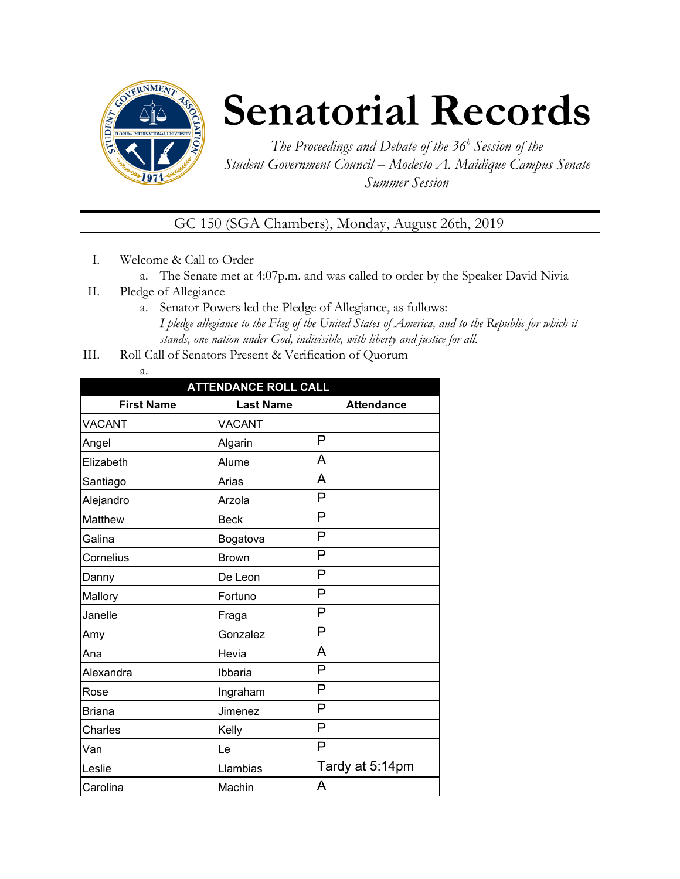

# **Senatorial Records**

*The Proceedings and Debate of the 36 <sup>h</sup> Session of the Student Government Council – Modesto A. Maidique Campus Senate Summer Session*

GC 150 (SGA Chambers), Monday, August 26th, 2019

- I. Welcome & Call to Order
	- a. The Senate met at 4:07p.m. and was called to order by the Speaker David Nivia
- II. Pledge of Allegiance
	- a. Senator Powers led the Pledge of Allegiance, as follows: *I pledge allegiance to the Flag of the United States of America, and to the Republic for which it stands, one nation under God, indivisible, with liberty and justice for all.*
- III. Roll Call of Senators Present & Verification of Quorum
	- a.

| <b>ATTENDANCE ROLL CALL</b> |                  |                   |  |  |  |
|-----------------------------|------------------|-------------------|--|--|--|
| <b>First Name</b>           | <b>Last Name</b> | <b>Attendance</b> |  |  |  |
| <b>VACANT</b>               | <b>VACANT</b>    |                   |  |  |  |
| Angel                       | Algarin          | P                 |  |  |  |
| Elizabeth                   | Alume            | A                 |  |  |  |
| Santiago                    | Arias            | A                 |  |  |  |
| Alejandro                   | Arzola           | P                 |  |  |  |
| <b>Matthew</b>              | <b>Beck</b>      | P                 |  |  |  |
| Galina                      | Bogatova         | P                 |  |  |  |
| Cornelius                   | <b>Brown</b>     | P                 |  |  |  |
| Danny                       | De Leon          | P                 |  |  |  |
| Mallory                     | Fortuno          | P                 |  |  |  |
| Janelle                     | Fraga            | P                 |  |  |  |
| Amy                         | Gonzalez         | P                 |  |  |  |
| Ana                         | Hevia            | A                 |  |  |  |
| Alexandra                   | Ibbaria          | P                 |  |  |  |
| Rose                        | Ingraham         | P                 |  |  |  |
| <b>Briana</b>               | Jimenez          | P                 |  |  |  |
| Charles                     | Kelly            | P                 |  |  |  |
| Van                         | Le               | P                 |  |  |  |
| Leslie                      | Llambias         | Tardy at 5:14pm   |  |  |  |
| Carolina                    | Machin           | A                 |  |  |  |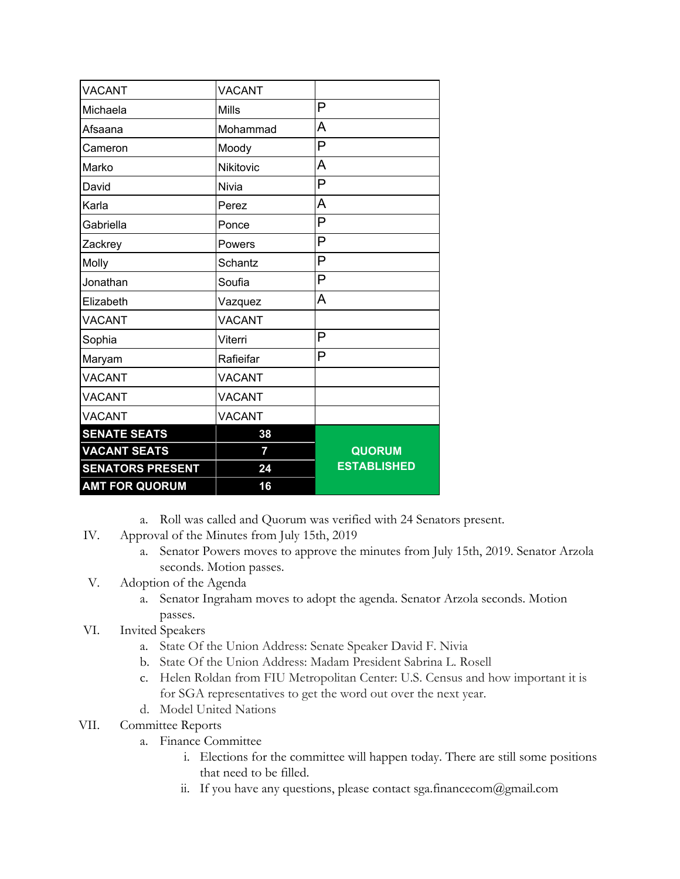| <b>SENATORS PRESENT</b><br><b>AMT FOR QUORUM</b> | 24<br>16      | <b>ESTABLISHED</b> |
|--------------------------------------------------|---------------|--------------------|
| <b>VACANT SEATS</b>                              | 7             | <b>QUORUM</b>      |
| <b>SENATE SEATS</b>                              | 38            |                    |
| <b>VACANT</b>                                    | <b>VACANT</b> |                    |
| <b>VACANT</b>                                    | <b>VACANT</b> |                    |
| <b>VACANT</b>                                    | <b>VACANT</b> |                    |
| Maryam                                           | Rafieifar     | P                  |
| Sophia                                           | Viterri       | P                  |
| <b>VACANT</b>                                    | <b>VACANT</b> |                    |
| Elizabeth                                        | Vazquez       | A                  |
| Jonathan                                         | Soufia        | P                  |
| Molly                                            | Schantz       | P                  |
| Zackrey                                          | Powers        | P                  |
| Gabriella                                        | Ponce         | P                  |
| Karla                                            | Perez         | A                  |
| David                                            | Nivia         | P                  |
| Marko                                            | Nikitovic     | A                  |
| Cameron                                          | Moody         | P                  |
| Afsaana                                          | Mohammad      | A                  |
| Michaela                                         | <b>Mills</b>  | P                  |
| <b>VACANT</b>                                    | <b>VACANT</b> |                    |

- a. Roll was called and Quorum was verified with 24 Senators present.
- IV. Approval of the Minutes from July 15th, 2019
	- a. Senator Powers moves to approve the minutes from July 15th, 2019. Senator Arzola seconds. Motion passes.
- V. Adoption of the Agenda
	- a. Senator Ingraham moves to adopt the agenda. Senator Arzola seconds. Motion passes.
- VI. Invited Speakers
	- a. State Of the Union Address: Senate Speaker David F. Nivia
	- b. State Of the Union Address: Madam President Sabrina L. Rosell
	- c. Helen Roldan from FIU Metropolitan Center: U.S. Census and how important it is for SGA representatives to get the word out over the next year.
	- d. Model United Nations

## VII. Committee Reports

- a. Finance Committee
	- i. Elections for the committee will happen today. There are still some positions that need to be filled.
	- ii. If you have any questions, please contact sga.financecom@gmail.com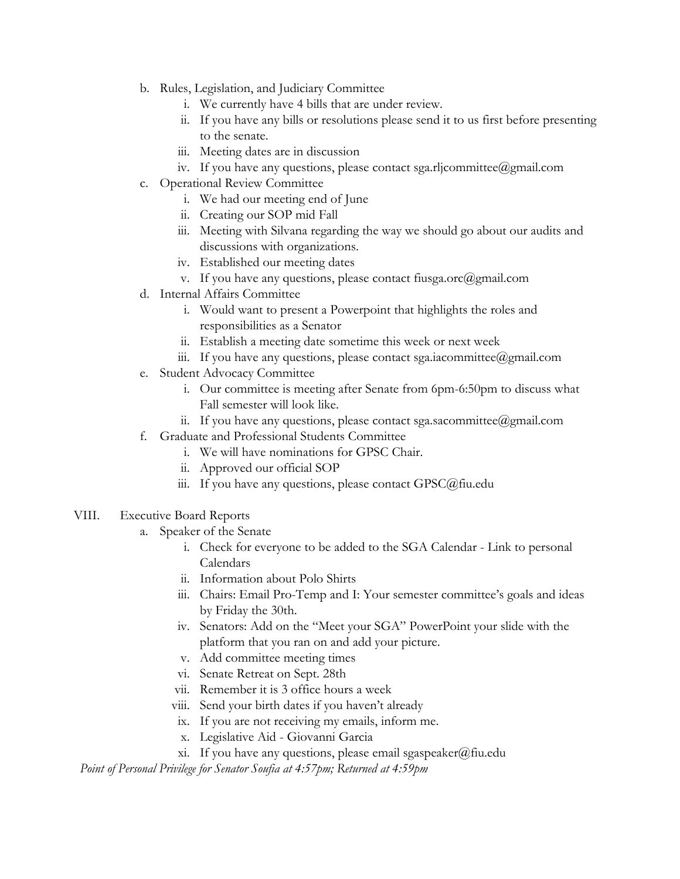- b. Rules, Legislation, and Judiciary Committee
	- i. We currently have 4 bills that are under review.
	- ii. If you have any bills or resolutions please send it to us first before presenting to the senate.
	- iii. Meeting dates are in discussion
	- iv. If you have any questions, please contact sga.rljcommittee@gmail.com
- c. Operational Review Committee
	- i. We had our meeting end of June
	- ii. Creating our SOP mid Fall
	- iii. Meeting with Silvana regarding the way we should go about our audits and discussions with organizations.
	- iv. Established our meeting dates
	- v. If you have any questions, please contact fiusga.orc@gmail.com
- d. Internal Affairs Committee
	- i. Would want to present a Powerpoint that highlights the roles and responsibilities as a Senator
	- ii. Establish a meeting date sometime this week or next week
	- iii. If you have any questions, please contact sga.iacommittee@gmail.com
- e. Student Advocacy Committee
	- i. Our committee is meeting after Senate from 6pm-6:50pm to discuss what Fall semester will look like.
	- ii. If you have any questions, please contact sga.sacommittee@gmail.com
- f. Graduate and Professional Students Committee
	- i. We will have nominations for GPSC Chair.
	- ii. Approved our official SOP
	- iii. If you have any questions, please contact GPSC@fiu.edu
- VIII. Executive Board Reports
	- a. Speaker of the Senate
		- i. Check for everyone to be added to the SGA Calendar Link to personal Calendars
		- ii. Information about Polo Shirts
		- iii. Chairs: Email Pro-Temp and I: Your semester committee's goals and ideas by Friday the 30th.
		- iv. Senators: Add on the "Meet your SGA" PowerPoint your slide with the platform that you ran on and add your picture.
		- v. Add committee meeting times
		- vi. Senate Retreat on Sept. 28th
		- vii. Remember it is 3 office hours a week
		- viii. Send your birth dates if you haven't already
		- ix. If you are not receiving my emails, inform me.
		- x. Legislative Aid Giovanni Garcia
		- xi. If you have any questions, please email sgaspeaker@fiu.edu

*Point of Personal Privilege for Senator Soufia at 4:57pm; Returned at 4:59pm*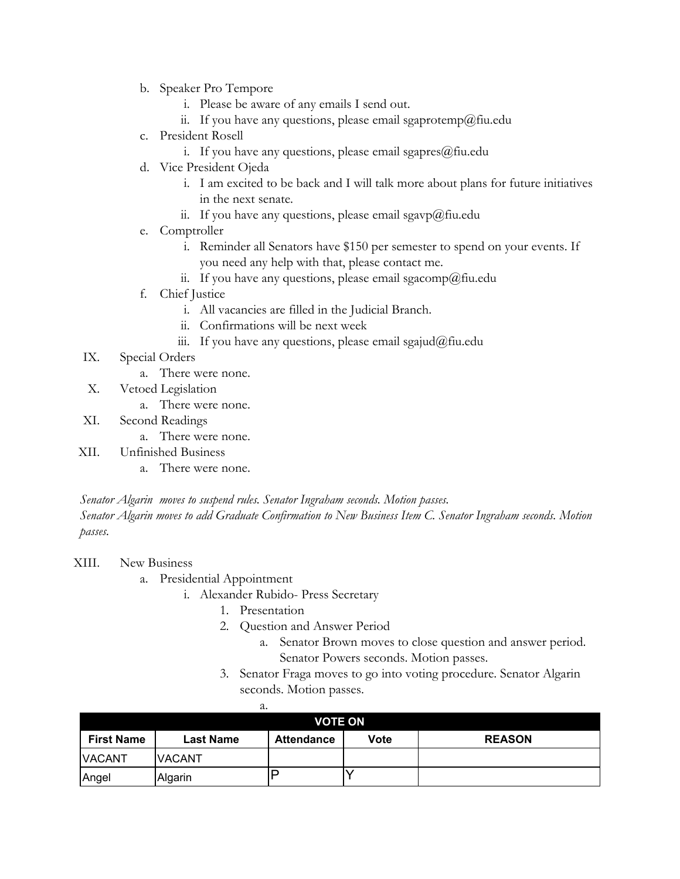- b. Speaker Pro Tempore
	- i. Please be aware of any emails I send out.
	- ii. If you have any questions, please email sgaprotemp@fiu.edu
- c. President Rosell
	- i. If you have any questions, please email sgapres@fiu.edu
- d. Vice President Ojeda
	- i. I am excited to be back and I will talk more about plans for future initiatives in the next senate.
	- ii. If you have any questions, please email sgavp@fiu.edu
- e. Comptroller
	- i. Reminder all Senators have \$150 per semester to spend on your events. If you need any help with that, please contact me.
	- ii. If you have any questions, please email sgacomp@fiu.edu
- f. Chief Justice
	- i. All vacancies are filled in the Judicial Branch.
	- ii. Confirmations will be next week
	- iii. If you have any questions, please email sgajud@fiu.edu
- IX. Special Orders
	- a. There were none.
- X. Vetoed Legislation
	- a. There were none.
- XI. Second Readings
	- a. There were none.
- XII. Unfinished Business
	- a. There were none.

*Senator Algarin moves to suspend rules. Senator Ingraham seconds. Motion passes. Senator Algarin moves to add Graduate Confirmation to New Business Item C. Senator Ingraham seconds. Motion passes.*

#### XIII. New Business

- a. Presidential Appointment
	- i. Alexander Rubido- Press Secretary
		- 1. Presentation
		- 2. Question and Answer Period
			- a. Senator Brown moves to close question and answer period. Senator Powers seconds. Motion passes.
		- 3. Senator Fraga moves to go into voting procedure. Senator Algarin seconds. Motion passes.

|                   | a.               |                   |      |               |
|-------------------|------------------|-------------------|------|---------------|
| <b>VOTE ON</b>    |                  |                   |      |               |
| <b>First Name</b> | <b>Last Name</b> | <b>Attendance</b> | Vote | <b>REASON</b> |
| <b>VACANT</b>     | <b>IVACANT</b>   |                   |      |               |
| Angel             | Algarin          |                   |      |               |

a.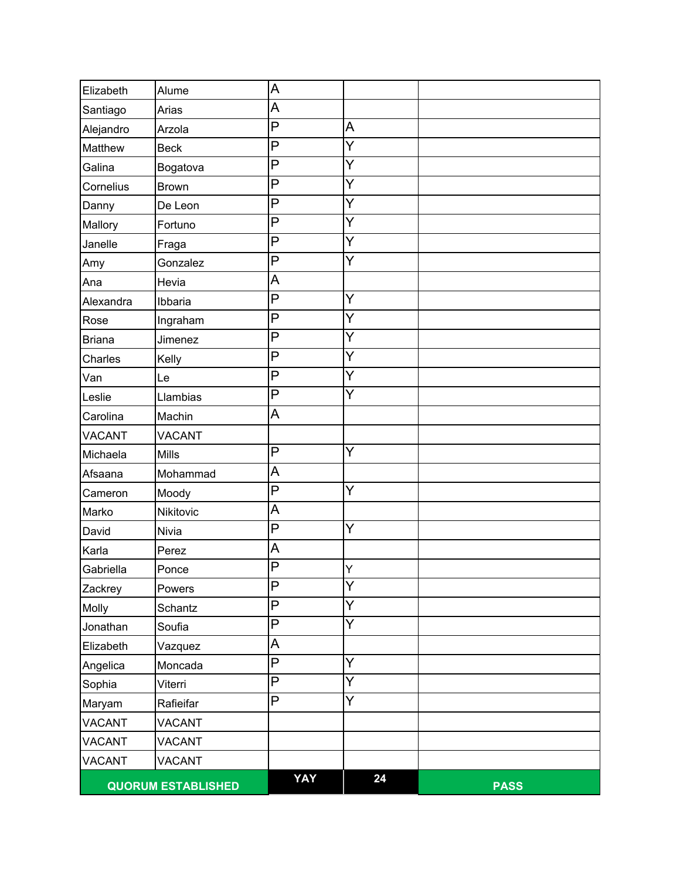| Elizabeth     | Alume                     | A   |    |             |
|---------------|---------------------------|-----|----|-------------|
| Santiago      | Arias                     | A   |    |             |
| Alejandro     | Arzola                    | P   | A  |             |
| Matthew       | <b>Beck</b>               | P   | Y  |             |
| Galina        | Bogatova                  | P   | Y  |             |
| Cornelius     | <b>Brown</b>              | P   | Y  |             |
| Danny         | De Leon                   | P   | Y  |             |
| Mallory       | Fortuno                   | P   | Y  |             |
| Janelle       | Fraga                     | P   | Y  |             |
| Amy           | Gonzalez                  | P   | Y  |             |
| Ana           | Hevia                     | A   |    |             |
| Alexandra     | Ibbaria                   | P   | Y  |             |
| Rose          | Ingraham                  | P   | Y  |             |
| <b>Briana</b> | Jimenez                   | P   | Y  |             |
| Charles       | Kelly                     | P   | Y  |             |
| Van           | Le                        | P   | Y  |             |
| Leslie        | Llambias                  | P   | Y  |             |
| Carolina      | Machin                    | A   |    |             |
| <b>VACANT</b> | <b>VACANT</b>             |     |    |             |
| Michaela      | <b>Mills</b>              | P   | Y  |             |
| Afsaana       | Mohammad                  | A   |    |             |
| Cameron       | Moody                     | P   | Y  |             |
| Marko         | Nikitovic                 | A   |    |             |
| David         | Nivia                     | P   | Y  |             |
| Karla         | Perez                     | A   |    |             |
| Gabriella     | Ponce                     | P   | Υ  |             |
| Zackrey       | Powers                    | P   | Y  |             |
| Molly         | Schantz                   | P   | Y  |             |
| Jonathan      | Soufia                    | P   | Y  |             |
| Elizabeth     | Vazquez                   | A   |    |             |
| Angelica      | Moncada                   | P   | Y  |             |
| Sophia        | Viterri                   | P   | Y  |             |
| Maryam        | Rafieifar                 | P   | Y  |             |
| <b>VACANT</b> | <b>VACANT</b>             |     |    |             |
| <b>VACANT</b> | <b>VACANT</b>             |     |    |             |
| <b>VACANT</b> | <b>VACANT</b>             |     |    |             |
|               | <b>QUORUM ESTABLISHED</b> | YAY | 24 | <b>PASS</b> |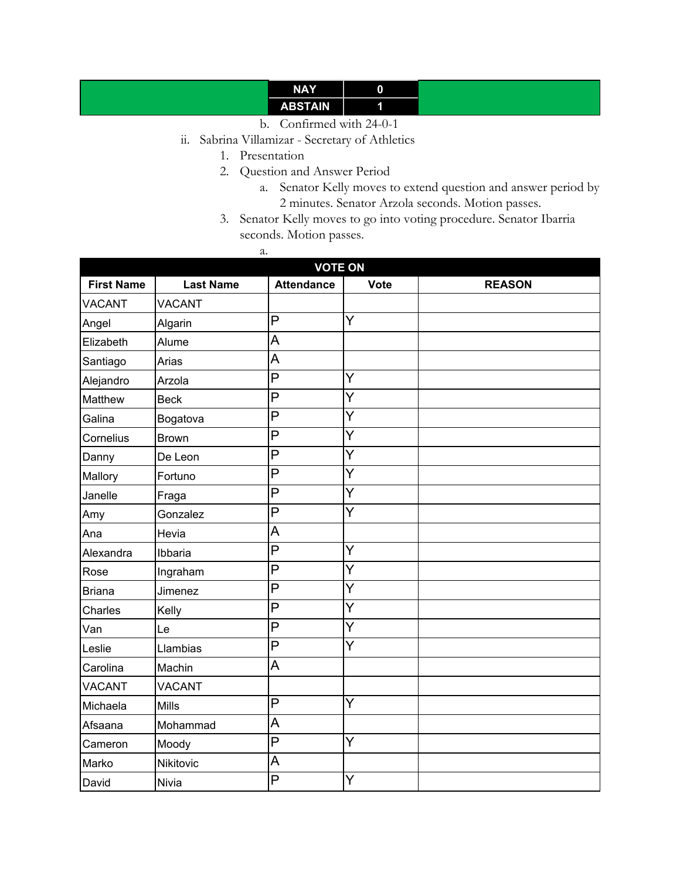# **NAY 0 ABSTAIN 1**

- b. Confirmed with 24-0-1
- ii. Sabrina Villamizar Secretary of Athletics
	- 1. Presentation
	- 2. Question and Answer Period
		- a. Senator Kelly moves to extend question and answer period by 2 minutes. Senator Arzola seconds. Motion passes.
	- 3. Senator Kelly moves to go into voting procedure. Senator Ibarria seconds. Motion passes.
		- a.

| <b>VOTE ON</b>    |                  |                   |             |               |
|-------------------|------------------|-------------------|-------------|---------------|
| <b>First Name</b> | <b>Last Name</b> | <b>Attendance</b> | <b>Vote</b> | <b>REASON</b> |
| <b>VACANT</b>     | <b>VACANT</b>    |                   |             |               |
| Angel             | Algarin          | P                 | Y           |               |
| Elizabeth         | Alume            | A                 |             |               |
| Santiago          | Arias            | A                 |             |               |
| Alejandro         | Arzola           | P                 | Y           |               |
| Matthew           | <b>Beck</b>      | P                 | Y           |               |
| Galina            | Bogatova         | P                 | Ý           |               |
| Cornelius         | <b>Brown</b>     | P                 | Ÿ           |               |
| Danny             | De Leon          | P                 | Y           |               |
| Mallory           | Fortuno          | P                 | Y           |               |
| Janelle           | Fraga            | P                 | Ÿ           |               |
| Amy               | Gonzalez         | P                 | Y           |               |
| Ana               | Hevia            | A                 |             |               |
| Alexandra         | Ibbaria          | P                 | Ý           |               |
| Rose              | Ingraham         | P                 | Y           |               |
| <b>Briana</b>     | Jimenez          | P                 | Y           |               |
| Charles           | Kelly            | P                 | Ý           |               |
| Van               | Le               | P                 | Y           |               |
| Leslie            | Llambias         | P                 | Y           |               |
| Carolina          | Machin           | A                 |             |               |
| <b>VACANT</b>     | <b>VACANT</b>    |                   |             |               |
| Michaela          | <b>Mills</b>     | P                 | Y           |               |
| Afsaana           | Mohammad         | A                 |             |               |
| Cameron           | Moody            | P                 | Y           |               |
| Marko             | Nikitovic        | A                 |             |               |
| David             | Nivia            | P                 | Y           |               |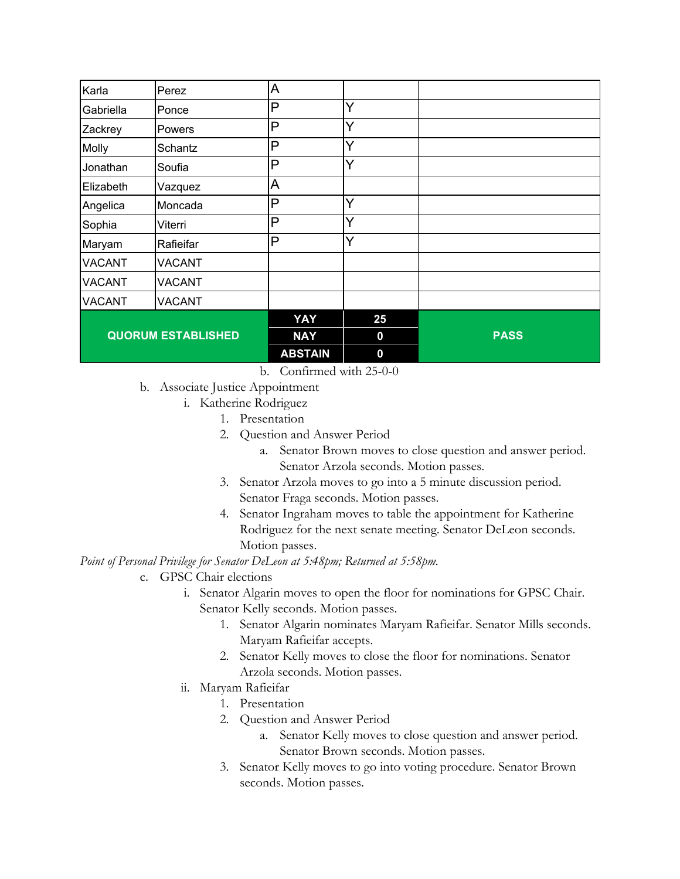| Karla                     | Perez         | A              |    |             |
|---------------------------|---------------|----------------|----|-------------|
| Gabriella                 | Ponce         | P              | Y  |             |
| Zackrey                   | Powers        | P              | Y  |             |
| Molly                     | Schantz       | P              | Y  |             |
| Jonathan                  | Soufia        | P              | Ý  |             |
| Elizabeth                 | Vazquez       | Α              |    |             |
| Angelica                  | Moncada       | P              | Y  |             |
| Sophia                    | Viterri       | P              | Y  |             |
| Maryam                    | Rafieifar     | P              | Y  |             |
| <b>VACANT</b>             | <b>VACANT</b> |                |    |             |
| <b>VACANT</b>             | <b>VACANT</b> |                |    |             |
| <b>VACANT</b>             | <b>VACANT</b> |                |    |             |
|                           |               | YAY            | 25 |             |
| <b>QUORUM ESTABLISHED</b> |               | <b>NAY</b>     | 0  | <b>PASS</b> |
|                           |               | <b>ABSTAIN</b> | 0  |             |

b. Confirmed with 25-0-0

- b. Associate Justice Appointment
	- i. Katherine Rodriguez
		- 1. Presentation
		- 2. Question and Answer Period
			- a. Senator Brown moves to close question and answer period. Senator Arzola seconds. Motion passes.
		- 3. Senator Arzola moves to go into a 5 minute discussion period. Senator Fraga seconds. Motion passes.
		- 4. Senator Ingraham moves to table the appointment for Katherine Rodriguez for the next senate meeting. Senator DeLeon seconds. Motion passes.

## *Point of Personal Privilege for Senator DeLeon at 5:48pm; Returned at 5:58pm.*

- c. GPSC Chair elections
	- i. Senator Algarin moves to open the floor for nominations for GPSC Chair. Senator Kelly seconds. Motion passes.
		- 1. Senator Algarin nominates Maryam Rafieifar. Senator Mills seconds. Maryam Rafieifar accepts.
		- 2. Senator Kelly moves to close the floor for nominations. Senator Arzola seconds. Motion passes.
	- ii. Maryam Rafieifar
		- 1. Presentation
		- 2. Question and Answer Period
			- a. Senator Kelly moves to close question and answer period. Senator Brown seconds. Motion passes.
		- 3. Senator Kelly moves to go into voting procedure. Senator Brown seconds. Motion passes.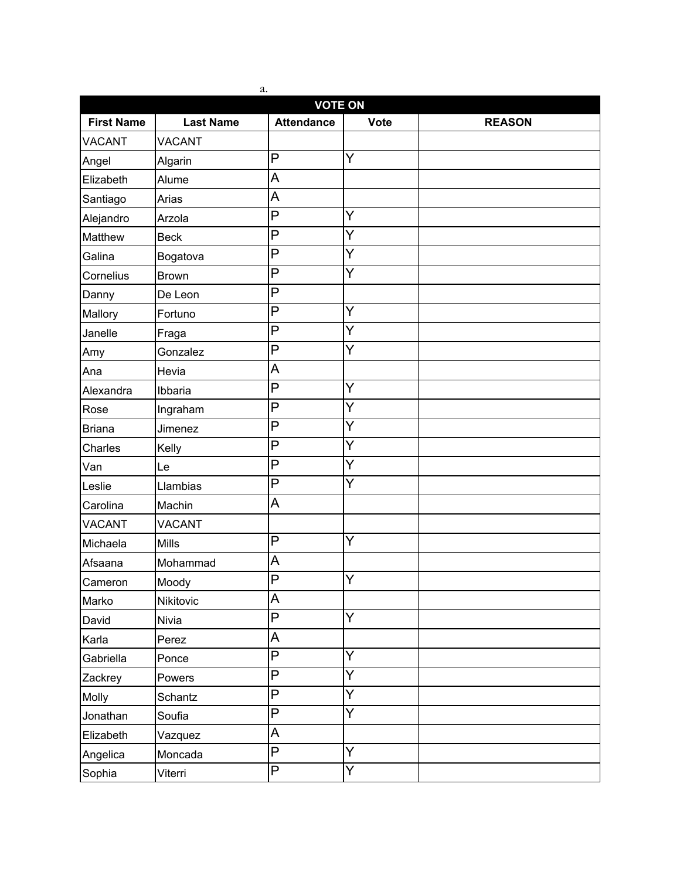| a.<br><b>VOTE ON</b> |                  |                   |                |               |
|----------------------|------------------|-------------------|----------------|---------------|
| <b>First Name</b>    | <b>Last Name</b> | <b>Attendance</b> | Vote           | <b>REASON</b> |
| <b>VACANT</b>        | <b>VACANT</b>    |                   |                |               |
| Angel                | Algarin          | P                 | Ÿ              |               |
| Elizabeth            | Alume            | A                 |                |               |
| Santiago             | Arias            | A                 |                |               |
| Alejandro            | Arzola           | P                 | Y              |               |
| Matthew              | <b>Beck</b>      | P                 | Ý              |               |
| Galina               | Bogatova         | P                 | Y              |               |
| Cornelius            | <b>Brown</b>     | P                 | Y              |               |
| Danny                | De Leon          | P                 |                |               |
| Mallory              | Fortuno          | P                 | Ý              |               |
| Janelle              | Fraga            | P                 | Y              |               |
| Amy                  | Gonzalez         | P                 | Y              |               |
| Ana                  | Hevia            | A                 |                |               |
| Alexandra            | Ibbaria          | P                 | Y              |               |
| Rose                 | Ingraham         | P                 | Y              |               |
| <b>Briana</b>        | Jimenez          | P                 | Y              |               |
| Charles              | Kelly            | P                 | Y              |               |
| Van                  | Le               | P                 | Y              |               |
| Leslie               | Llambias         | P                 | Y              |               |
| Carolina             | Machin           | A                 |                |               |
| <b>VACANT</b>        | <b>VACANT</b>    |                   |                |               |
| Michaela             | <b>Mills</b>     | P                 | Ÿ              |               |
| Afsaana              | Mohammad         | A                 |                |               |
| Cameron              | Moody            | $\overline{P}$    | Y              |               |
| Marko                | Nikitovic        | A                 |                |               |
| David                | Nivia            | P                 | Y              |               |
| Karla                | Perez            | A                 |                |               |
| Gabriella            | Ponce            | P                 | $\overline{Y}$ |               |
| Zackrey              | Powers           | $\overline{P}$    | $\overline{Y}$ |               |
| Molly                | Schantz          | P                 | $\overline{Y}$ |               |
| Jonathan             | Soufia           | P                 | Y              |               |
| Elizabeth            | Vazquez          | A                 |                |               |
| Angelica             | Moncada          | P                 | Y              |               |
| Sophia               | Viterri          | Ρ                 | Y              |               |